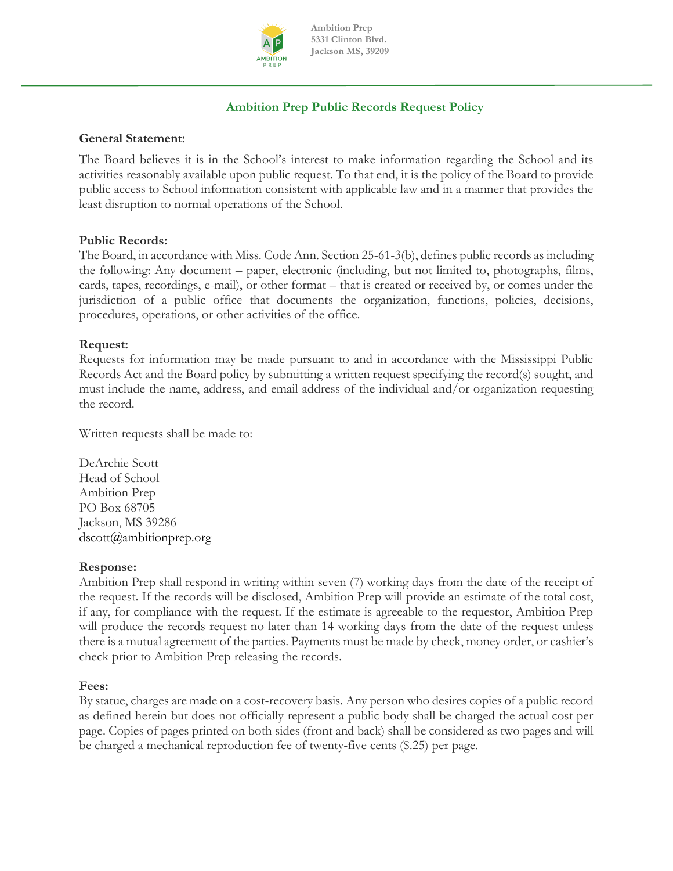

**Ambition Prep 5331 Clinton Blvd. Jackson MS, 39209**

# **Ambition Prep Public Records Request Policy**

## **General Statement:**

The Board believes it is in the School's interest to make information regarding the School and its activities reasonably available upon public request. To that end, it is the policy of the Board to provide public access to School information consistent with applicable law and in a manner that provides the least disruption to normal operations of the School.

#### **Public Records:**

The Board, in accordance with Miss. Code Ann. Section 25-61-3(b), defines public records as including the following: Any document – paper, electronic (including, but not limited to, photographs, films, cards, tapes, recordings, e-mail), or other format – that is created or received by, or comes under the jurisdiction of a public office that documents the organization, functions, policies, decisions, procedures, operations, or other activities of the office.

### **Request:**

Requests for information may be made pursuant to and in accordance with the Mississippi Public Records Act and the Board policy by submitting a written request specifying the record(s) sought, and must include the name, address, and email address of the individual and/or organization requesting the record.

Written requests shall be made to:

DeArchie Scott Head of School Ambition Prep PO Box 68705 Jackson, MS 39286 [dscott@ambitionprep.org](mailto:dscott@ambitionprep.org)

#### **Response:**

Ambition Prep shall respond in writing within seven (7) working days from the date of the receipt of the request. If the records will be disclosed, Ambition Prep will provide an estimate of the total cost, if any, for compliance with the request. If the estimate is agreeable to the requestor, Ambition Prep will produce the records request no later than 14 working days from the date of the request unless there is a mutual agreement of the parties. Payments must be made by check, money order, or cashier's check prior to Ambition Prep releasing the records.

### **Fees:**

By statue, charges are made on a cost-recovery basis. Any person who desires copies of a public record as defined herein but does not officially represent a public body shall be charged the actual cost per page. Copies of pages printed on both sides (front and back) shall be considered as two pages and will be charged a mechanical reproduction fee of twenty-five cents (\$.25) per page.